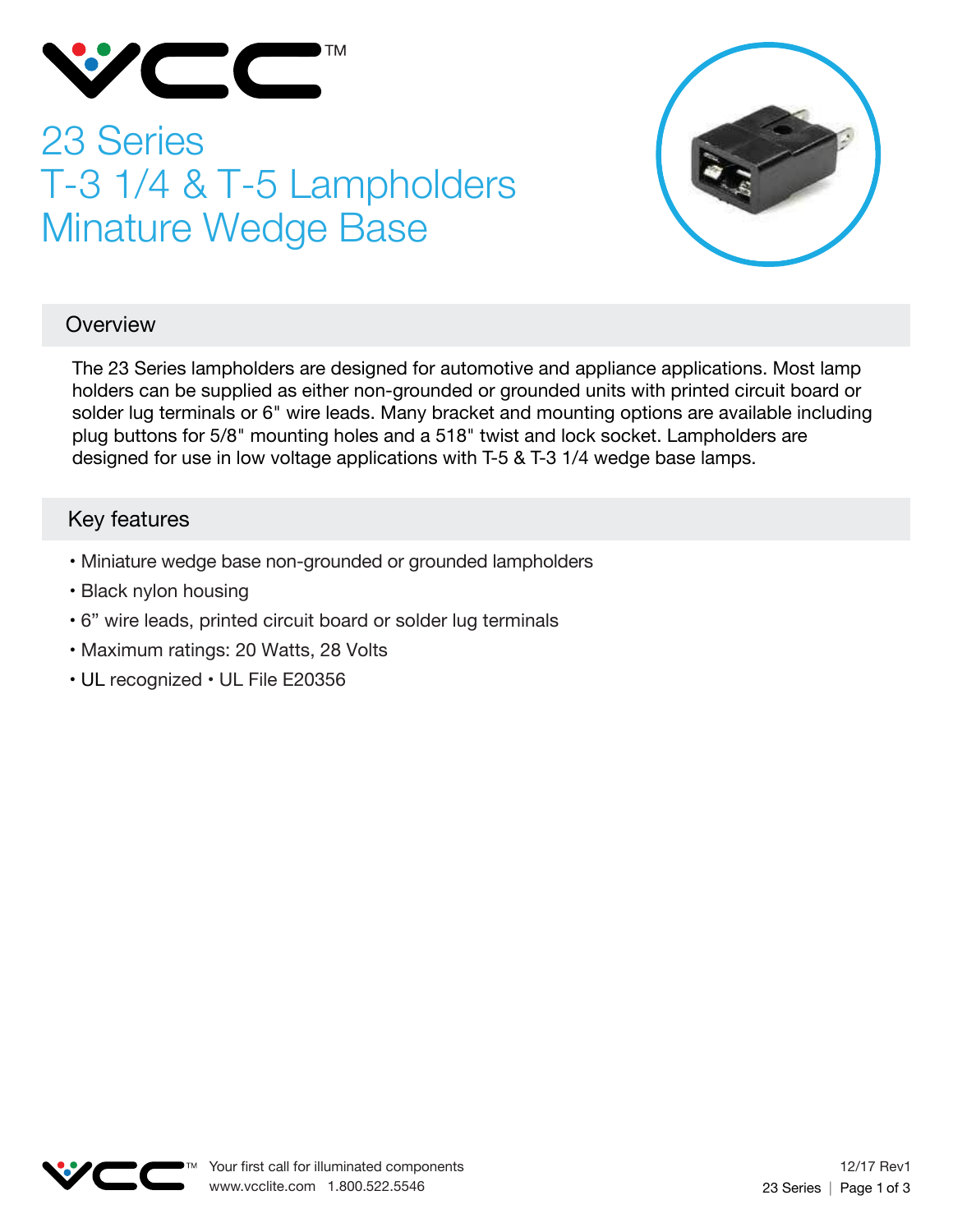

# 23 Series T-3 1/4 & T-5 Lampholders Minature Wedge Base



## **Overview**

The 23 Series lampholders are designed for automotive and appliance applications. Most lamp holders can be supplied as either non-grounded or grounded units with printed circuit board or solder lug terminals or 6" wire leads. Many bracket and mounting options are available including plug buttons for 5/8" mounting holes and a 518" twist and lock socket. Lampholders are designed for use in low voltage applications with T-5 & T-3 1/4 wedge base lamps.

## Key features

- Miniature wedge base non-grounded or grounded lampholders
- Black nylon housing
- 6" wire leads, printed circuit board or solder lug terminals
- Maximum ratings: 20 Watts, 28 Volts
- UL recognized UL File E20356

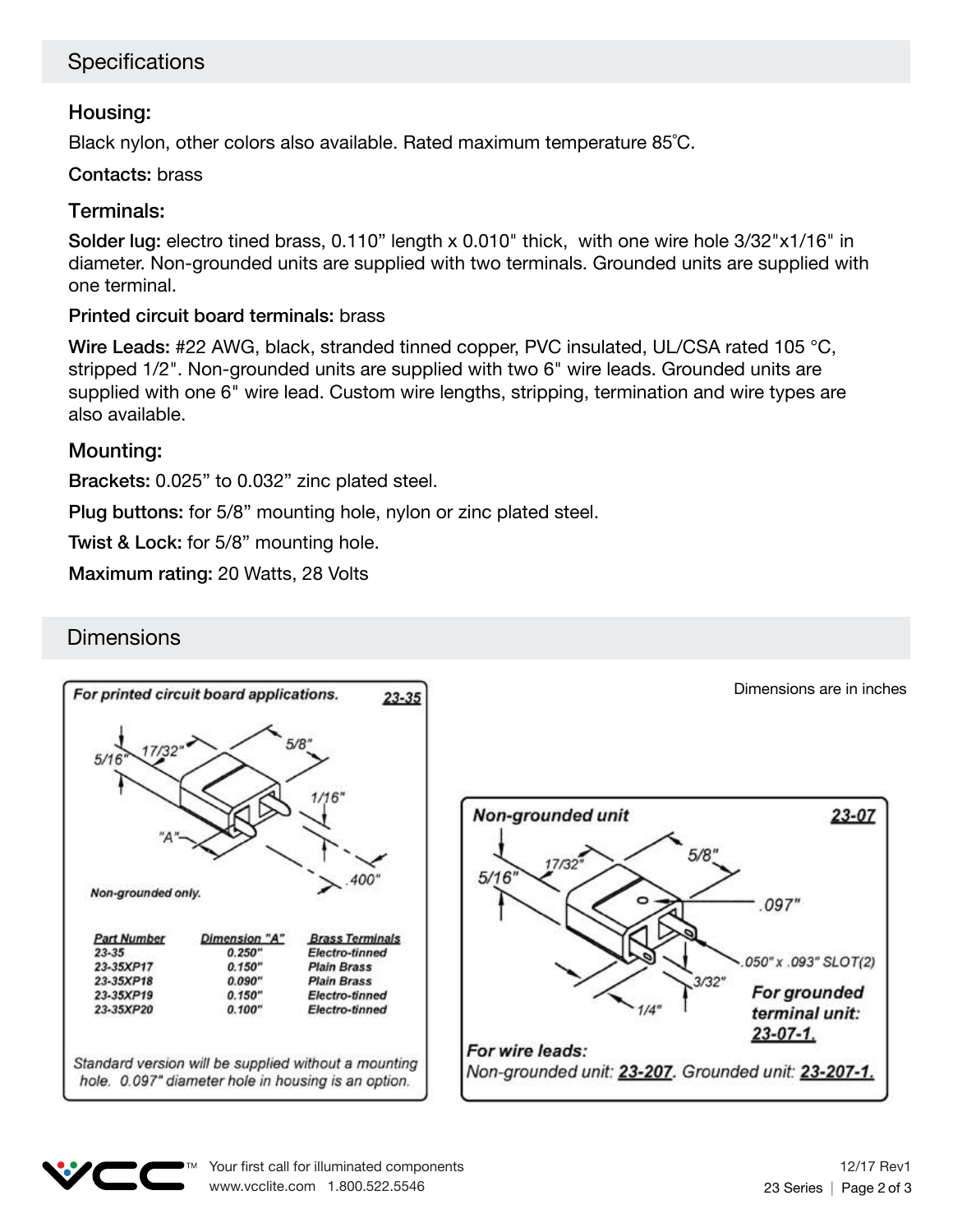# **Specifications**

#### Housing:

Black nylon, other colors also available. Rated maximum temperature 85˚C.

#### Contacts: brass

#### Terminals:

Solder lug: electro tined brass, 0.110" length x 0.010" thick, with one wire hole 3/32"x1/16" in diameter. Non-grounded units are supplied with two terminals. Grounded units are supplied with one terminal.

#### Printed circuit board terminals: brass

Wire Leads: #22 AWG, black, stranded tinned copper, PVC insulated, UL/CSA rated 105 °C, stripped 1/2". Non-grounded units are supplied with two 6" wire leads. Grounded units are supplied with one 6" wire lead. Custom wire lengths, stripping, termination and wire types are also available.

#### Mounting:

Brackets: 0.025" to 0.032" zinc plated steel.

Plug buttons: for 5/8" mounting hole, nylon or zinc plated steel.

Twist & Lock: for 5/8" mounting hole.

Maximum rating: 20 Watts, 28 Volts

## **Dimensions**